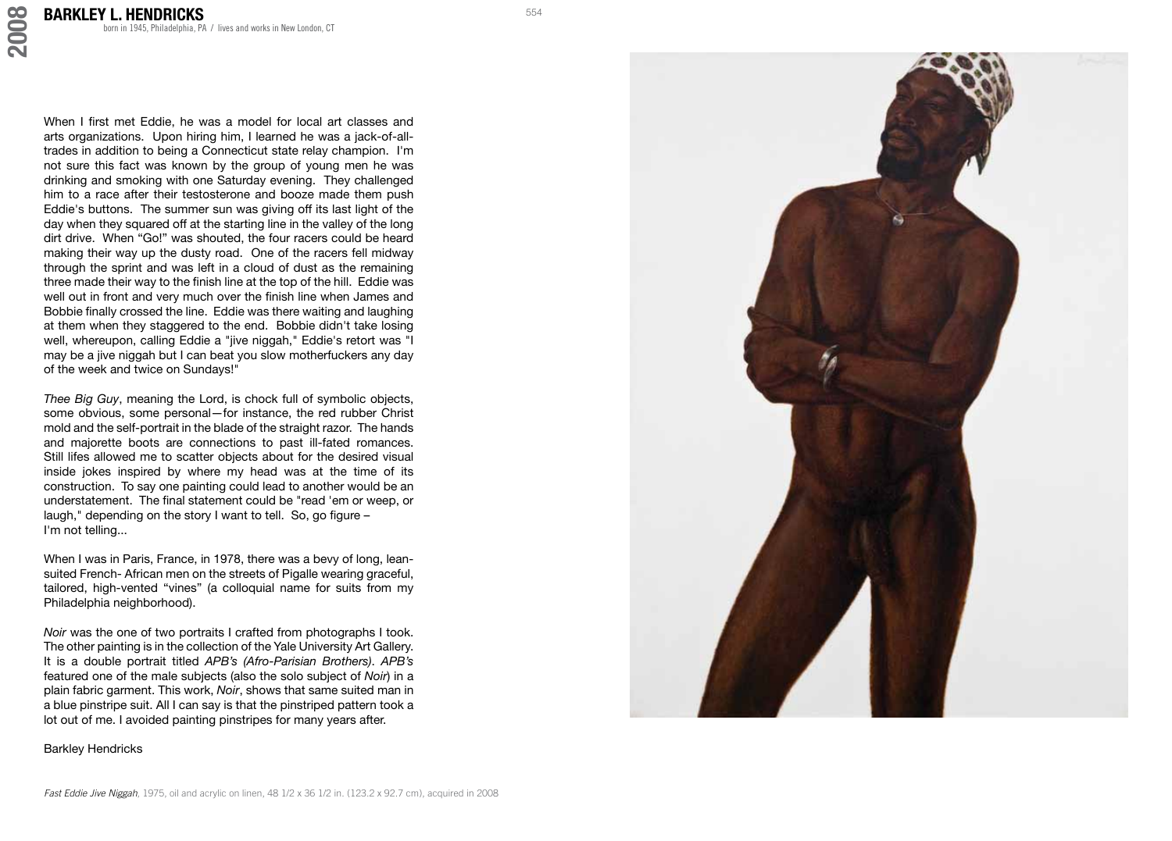**2008**

When I first met Eddie, he was a model for local art classes and arts organizations. Upon hiring him, I learned he was a jack-of-alltrades in addition to being a Connecticut state relay champion. I'm not sure this fact was known by the group of young men he was drinking and smoking with one Saturday evening. They challenged him to a race after their testosterone and booze made them push Eddie's buttons. The summer sun was giving off its last light of the day when they squared off at the starting line in the valley of the long dirt drive. When "Go!" was shouted, the four racers could be heard making their way up the dusty road. One of the racers fell midway through the sprint and was left in a cloud of dust as the remaining three made their way to the finish line at the top of the hill. Eddie was well out in front and very much over the finish line when James and Bobbie finally crossed the line. Eddie was there waiting and laughing at them when they staggered to the end. Bobbie didn't take losing well, whereupon, calling Eddie a "jive niggah," Eddie's retort was "I may be a jive niggah but I can beat you slow motherfuckers any day of the week and twice on Sundays!"

*Thee Big Guy*, meaning the Lord, is chock full of symbolic objects, some obvious, some personal—for instance, the red rubber Christ mold and the self-portrait in the blade of the straight razor. The hands and majorette boots are connections to past ill-fated romances. Still lifes allowed me to scatter objects about for the desired visual inside jokes inspired by where my head was at the time of its construction. To say one painting could lead to another would be an understatement. The final statement could be "read 'em or weep, or laugh," depending on the story I want to tell. So, go figure – I'm not telling...

When I was in Paris, France, in 1978, there was a bevy of long, leansuited French- African men on the streets of Pigalle wearing graceful, tailored, high-vented "vines" (a colloquial name for suits from my Philadelphia neighborhood).

*Noir* was the one of two portraits I crafted from photographs I took. The other painting is in the collection of the Yale University Art Gallery. It is a double portrait titled *APB's (Afro-Parisian Brothers)*. *APB's* featured one of the male subjects (also the solo subject of *Noir*) in a plain fabric garment. This work, *Noir*, shows that same suited man in a blue pinstripe suit. All I can say is that the pinstriped pattern took a lot out of me. I avoided painting pinstripes for many years after.

Barkley Hendricks